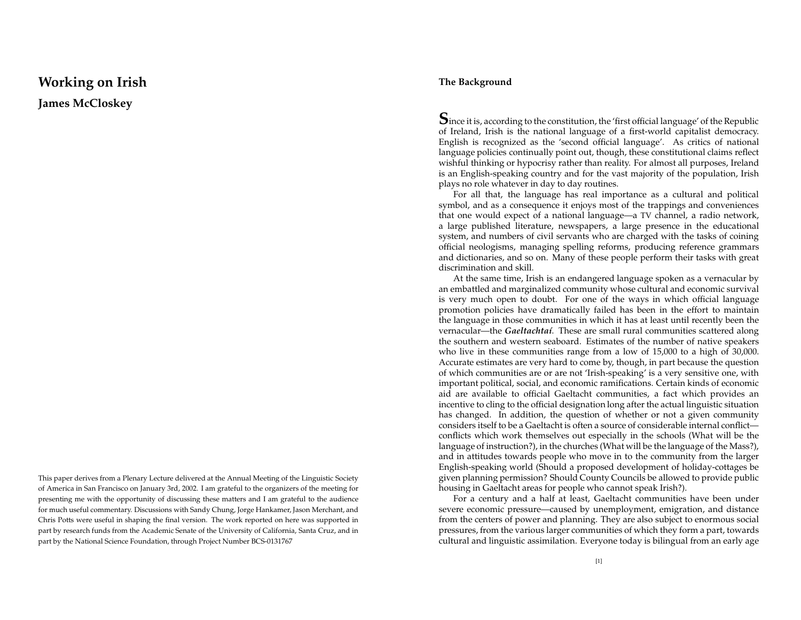# **Working on Irish**

**James McCloskey**

This paper derives from <sup>a</sup> Plenary Lecture delivered at the Annual Meeting of the Linguistic Society of America in San Francisco on January 3rd, 2002. <sup>I</sup> am grateful to the organizers of the meeting for presenting me with the opportunity of discussing these matters and <sup>I</sup> am grateful to the audience for much useful commentary. Discussions with Sandy Chung, Jorge Hankamer, Jason Merchant, and Chris Potts were useful in shaping the final version. The work reported on here was supported in par<sup>t</sup> by research funds from the Academic Senate of the University of California, Santa Cruz, and in par<sup>t</sup> by the National Science Foundation, through Project Number BCS-0131767

#### **The Background**

 $\mathbf S$ ince it is, according to the constitution, the 'first official language' of the Republic of Ireland, Irish is the national language of <sup>a</sup> first-world capitalist democracy. English is recognized as the 'second official language'. As critics of national language policies continually point out, though, these constitutional claims reflect wishful thinking or hypocrisy rather than reality. For almost all purposes, Ireland is an English-speaking country and for the vast majority of the population, Irish plays no role whatever in day to day routines.

For all that, the language has real importance as <sup>a</sup> cultural and political symbol, and as <sup>a</sup> consequence it enjoys most of the trappings and conveniences that one would expec<sup>t</sup> of <sup>a</sup> national language—a TV channel, <sup>a</sup> radio network, a large published literature, newspapers, <sup>a</sup> large presence in the educational system, and numbers of civil servants who are charged with the tasks of coining official neologisms, managing spelling reforms, producing reference grammars and dictionaries, and so on. Many of these people perform their tasks with grea<sup>t</sup> discrimination and skill.

At the same time, Irish is an endangered language spoken as <sup>a</sup> vernacular by an embattled and marginalized community whose cultural and economic survival is very much open to doubt. For one of the ways in which official language promotion policies have dramatically failed has been in the effort to maintain the language in those communities in which it has at least until recently been the vernacular—the *Gaeltachta´ı*. These are small rural communities scattered along the southern and western seaboard. Estimates of the number of native speakers who live in these communities range from <sup>a</sup> low of 15,000 to <sup>a</sup> high of 30,000. Accurate estimates are very har d to come by, though, in par<sup>t</sup> because the question of which communities are or are not 'Irish-speaking' is <sup>a</sup> very sensitive one, with important political, social, and economic ramifications. Certain kinds of economic aid are available to official Gaeltacht communities, <sup>a</sup> fact which provides an incentive to cling to the official designation long after the actual linguistic situation has changed. In addition, the question of whether or not <sup>a</sup> given community considers itself to be <sup>a</sup> Gaeltacht is often <sup>a</sup> source of considerable internal conflictconflicts which work themselves out especially in the schools (What will be the language of instruction?), in the churches (What will be the language of the Mass?), and in attitudes towards people who move in to the community from the larger English-speaking world (Should <sup>a</sup> proposed development of holiday-cottages be given planning permission? Should County Councils be allowed to provide public housing in Gaeltacht areas for people who cannot speak Irish?).

For a century and <sup>a</sup> half at least, Gaeltacht communities have been under severe economic pressure—caused by unemployment, emigration, and distance from the centers of power and planning. They are also subject to enormous social pressures, from the various larger communities of which they form <sup>a</sup> part, towards cultural and linguistic assimilation. Everyone today is bilingual from an early age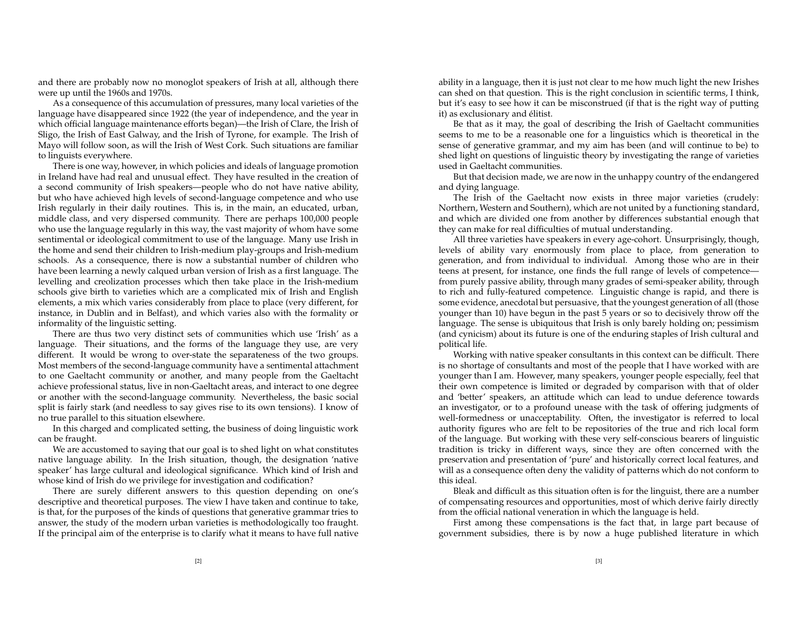and there are probably now no monoglot speakers of Irish at all, although there were up until the 1960s and 1970s.

As a consequence of this accumulation of pressures, many local varieties of the language have disappeared since 1922 (the year of independence, and the year in which official language maintenance efforts began)—the Irish of Clare, the Irish of Sligo, the Irish of East Galway, and the Irish of Tyrone, for example. The Irish of Mayo will follow soon, as will the Irish of West Cork. Such situations are familiar to linguists everywhere.

There is one way, however, in which policies and ideals of language promotion in Ireland have had real and unusual effect. They have resulted in the creation of a second community of Irish speakers—people who do not have native ability, but who have achieved high levels of second-language competence and who use Irish regularly in their daily routines. This is, in the main, an educated, urban, middle class, and very dispersed community. There are perhaps 100,000 people who use the language regularly in this way, the vast majority of whom have some sentimental or ideological commitment to use of the language. Many use Irish in the home and send their children to Irish-medium play-groups and Irish-medium schools. As a consequence, there is now <sup>a</sup> substantial number of children who have been learning <sup>a</sup> newly calqued urban version of Irish as <sup>a</sup> first language. The levelling and creolization processes which then take place in the Irish-medium schools give birth to varieties which are <sup>a</sup> complicated mix of Irish and English elements, <sup>a</sup> mix which varies considerably from place to place (very different, for instance, in Dublin and in Belfast), and which varies also with the formality or informality of the linguistic setting.

There are thus two very distinct sets of communities which use 'Irish' as <sup>a</sup> language. Their situations, and the forms of the language they use, are very different. It would be wrong to over-state the separateness of the two groups. Most members of the second-language community have <sup>a</sup> sentimental attachment to one Gaeltacht community or another, and many people from the Gaeltacht achieve professional status, live in non-Gaeltacht areas, and interact to one degree or another with the second-language community. Nevertheless, the basic social split is fairly stark (and needless to say gives rise to its own tensions). <sup>I</sup> know of no true parallel to this situation elsewhere.

In this charged and complicated setting, the business of doing linguistic work can be fraught.

We are accustomed to saying that our goal is to shed light on what constitutes native language ability. In the Irish situation, though, the designation 'native speaker' has large cultural and ideological significance. Which kind of Irish and whose kind of Irish do we privilege for investigation and codification?

There are surely different answers to this question depending on one's descriptive and theoretical purposes. The view <sup>I</sup> have taken and continue to take, is that, for the purposes of the kinds of questions that generative grammar tries to answer, the study of the modern urban varieties is methodologically too fraught. If the principal aim of the enterprise is to clarify what it means to have full native

ability in <sup>a</sup> language, then it is just not clear to me how much light the new Irishes can shed on that question. This is the right conclusion in scientific terms, <sup>I</sup> think, but it's easy to see how it can be misconstrued (if that is the right way of putting it) as exclusionary and élitist.

Be that as it may, the goal of describing the Irish of Gaeltacht communities seems to me to be <sup>a</sup> reasonable one for <sup>a</sup> linguistics which is theoretical in the sense of generative grammar, and my aim has been (and will continue to be) to shed light on questions of linguistic theory by investigating the range of varieties used in Gaeltacht communities.

But that decision made, we are now in the unhappy country of the endangered and dying language.

The Irish of the Gaeltacht now exists in three major varieties (crudely: Northern, Western and Southern), which are not united by <sup>a</sup> functioning standard, and which are divided one from another by differences substantial enough that they can make for real difficulties of mutual understanding.

All three varieties have speakers in every age-cohort. Unsurprisingly, though, levels of ability vary enormously from place to place, from generation to generation, and from individual to individual. Among those who are in their teens at present, for instance, one finds the full range of levels of competence from purely passive ability, through many grades of semi-speaker ability, through to rich and fully-featured competence. Linguistic change is rapid, and there is some evidence, anecdotal but persuasive, that the younges<sup>t</sup> generation of all (those younger than 10) have begun in the pas<sup>t</sup> 5 years or so to decisively throw off the language. The sense is ubiquitous that Irish is only barely holding on; pessimism (and cynicism) about its future is one of the enduring staples of Irish cultural and political life.

Working with native speaker consultants in this context can be difficult. There is no shortage of consultants and most of the people that <sup>I</sup> have worked with are younger than <sup>I</sup> am. However, many speakers, younger people especially, feel that their own competence is limited or degraded by comparison with that of older and 'better' speakers, an attitude which can lead to undue deference towards an investigator, or to <sup>a</sup> profound unease with the task of offering judgments of well-formedness or unacceptability. Often, the investigator is referred to local authority figures who are felt to be repositories of the true and rich local form of the language. But working with these very self-conscious bearers of linguistic tradition is tricky in different ways, since they are often concerned with the preservation and presentation of 'pure' and historically correct local features, and will as a consequence often deny the validity of patterns which do not conform to this ideal.

Bleak and difficult as this situation often is for the linguist, there are <sup>a</sup> number of compensating resources and opportunities, most of which derive fairly directly from the official national veneration in which the language is held.

First among these compensations is the fact that, in large par<sup>t</sup> because of governmen<sup>t</sup> subsidies, there is by now <sup>a</sup> huge published literature in which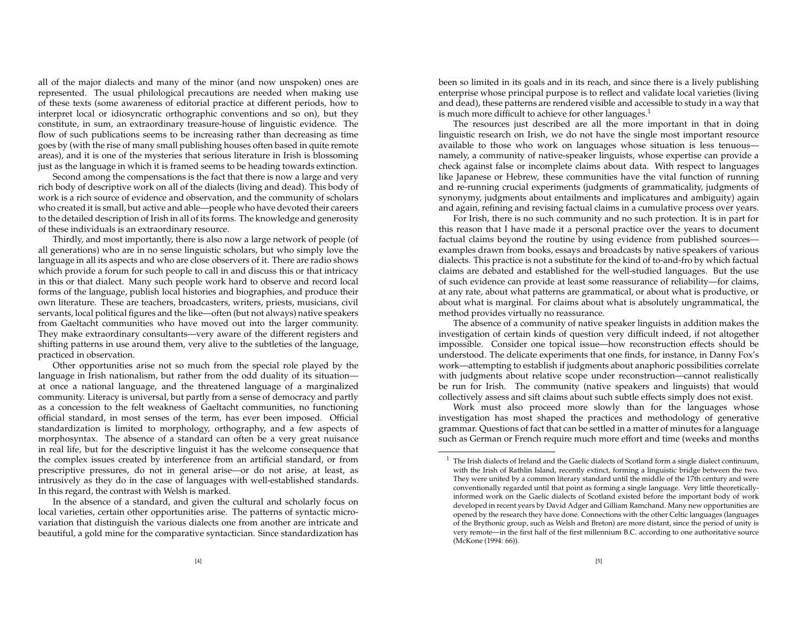all of the major dialects and many of the minor (and now unspoken) ones are represented. The usual philological precautions are needed when making use of these texts (some awareness of editorial practice at different periods, how to interpret local or idiosyncratic orthographic conventions and so on), but they constitute, in sum, an extraordinary treasure-house of linguistic evidence. The flow of such publications seems to be increasing rather than decreasing as time goes by (with the rise of many small publishing houses often based in quite remote areas), and it is one of the mysteries that serious literature in Irish is blossoming just as the language in which it is framed seems to be heading towards extinction.

Second among the compensations is the fact that there is now <sup>a</sup> large and very rich body of descriptive work on all of the dialects (living and dead). This body of work is <sup>a</sup> rich source of evidence and observation, and the community of scholars who created it is small, but active and able—people who have devoted their careers to the detailed description of Irish in all of its forms. The knowledge and generosity of these individuals is an extraordinary resource.

Thirdly, and most importantly, there is also now <sup>a</sup> large network of people (of all generations) who are in no sense linguistic scholars, but who simply love the language in all its aspects and who are close observers of it. There are radio shows which provide <sup>a</sup> forum for such people to call in and discuss this or that intricacy in this or that dialect. Many such people work har d to observe and recor d local forms of the language, publish local histories and biographies, and produce their own literature. These are teachers, broadcasters, writers, priests, musicians, civil servants, local political figures and the like—often (but not always) native speakers from Gaeltacht communities who have moved out into the larger community. They make extraordinary consultants—very aware of the different registers and shifting patterns in use around them, very alive to the subtleties of the language, practiced in observation.

Other opportunities arise not so much from the special role played by the language in Irish nationalism, but rather from the odd duality of its situation at once a national language, and the threatened language of <sup>a</sup> marginalized community. Literacy is universal, but partly from <sup>a</sup> sense of democracy and partly as a concession to the felt weakness of Gaeltacht communities, no functioning official standard, in most senses of the term, has ever been imposed. Official standardization is limited to morphology, orthography, and <sup>a</sup> few aspects of morphosyntax. The absence of <sup>a</sup> standar d can often be <sup>a</sup> very grea<sup>t</sup> nuisance in real life, but for the descriptive linguist it has the welcome consequence that the complex issues created by interference from an artificial standard, or from prescriptive pressures, do not in general arise—or do not arise, at least, as intrusively as they do in the case of languages with well-established standards. In this regard, the contrast with Welsh is marked.

In the absence of <sup>a</sup> standard, and given the cultural and scholarly focus on local varieties, certain other opportunities arise. The patterns of syntactic microvariation that distinguish the various dialects one from another are intricate and beautiful, <sup>a</sup> gold mine for the comparative syntactician. Since standardization has

been so limited in its goals and in its reach, and since there is <sup>a</sup> lively publishing enterprise whose principal purpose is to reflect and validate local varieties (living and dead), these patterns are rendered visible and accessible to study in <sup>a</sup> way that is much more difficult to achieve for other languages. $^{\rm 1}$ 

The resources just described are all the more important in that in doing linguistic research on Irish, we do not have the single most important resource available to those who work on languages whose situation is less tenuous namely, <sup>a</sup> community of native-speaker linguists, whose expertise can provide <sup>a</sup> check against false or incomplete claims about data. With respec<sup>t</sup> to languages like Japanese or Hebrew, these communities have the vital function of running and re-running crucial experiments (judgments of grammaticality, judgments of synonymy, judgments about entailments and implicatures and ambiguity) again and again, refining and revising factual claims in <sup>a</sup> cumulative process over years.

For Irish, there is no such community and no such protection. It is in par<sup>t</sup> for this reason that <sup>I</sup> have made it <sup>a</sup> personal practice over the years to document factual claims beyond the routine by using evidence from published sources examples drawn from books, essays and broadcasts by native speakers of various dialects. This practice is not <sup>a</sup> substitute for the kind of to-and-fro by which factual claims are debated and established for the well-studied languages. But the use of such evidence can provide at least some reassurance of reliability—for claims, at any rate, about what patterns are grammatical, or about what is productive, or about what is marginal. For claims about what is absolutely ungrammatical, the method provides virtually no reassurance.

The absence of <sup>a</sup> community of native speaker linguists in addition makes the investigation of certain kinds of question very difficult indeed, if not altogether impossible. Consider one topical issue—how reconstruction effects should be understood. The delicate experiments that one finds, for instance, in Danny Fox's work—attempting to establish if judgments about anaphoric possibilities correlate with judgments about relative scope under reconstruction—cannot realistically be run for Irish. The community (native speakers and linguists) that would collectively assess and sift claims about such subtle effects simply does not exist.

Work must also proceed more slowly than for the languages whose investigation has most shaped the practices and methodology of generative grammar. Questions of fact that can be settled in <sup>a</sup> matter of minutes for <sup>a</sup> language such as German or French require much more effort and time (weeks and months

 $1$  The Irish dialects of Ireland and the Gaelic dialects of Scotland form a single dialect continuum, with the Irish of Rathlin Island, recently extinct, forming <sup>a</sup> linguistic bridge between the two. They were united by <sup>a</sup> common literary standard until the middle of the 17th century and were conventionally regarded until that point as forming <sup>a</sup> single language. Very little theoreticallyinformed work on the Gaelic dialects of Scotland existed before the important body of work developed in recent years by David Adger and Gilliam Ramchand. Many new opportunities are opened by the research they have done. Connections with the other Celtic languages (languages of the Brythonic group, such as Welsh and Breton) are more distant, since the period of unity is very remote—in the first half of the first millennium B.C. according to one authoritative source (McKone (1994: 66)).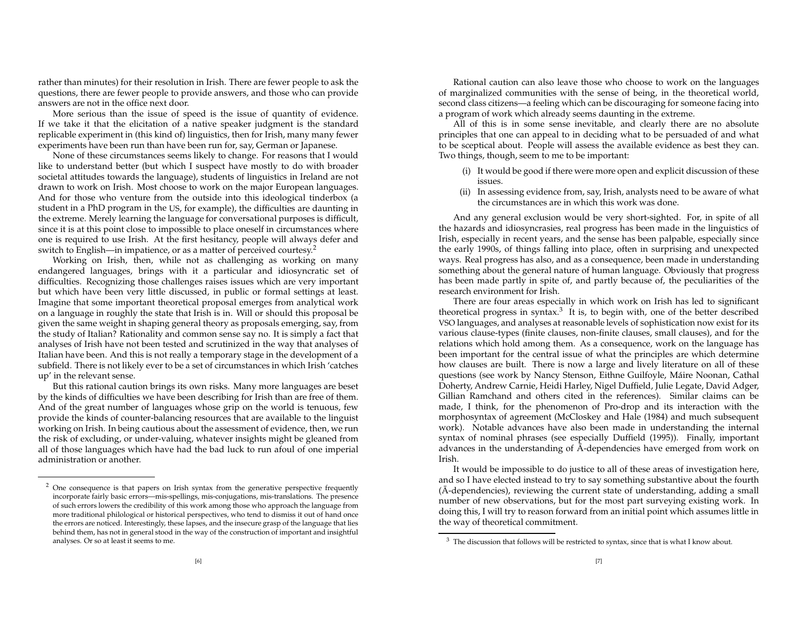rather than minutes) for their resolution in Irish. There are fewer people to ask the questions, there are fewer people to provide answers, and those who can provide answers are not in the office next door.

More serious than the issue of speed is the issue of quantity of evidence. If we take it that the elicitation of <sup>a</sup> native speaker judgment is the standar d replicable experiment in (this kind of) linguistics, then for Irish, many many fewer experiments have been run than have been run for, say, German or Japanese.

None of these circumstances seems likely to change. For reasons that <sup>I</sup> would like to understand better (but which <sup>I</sup> suspec<sup>t</sup> have mostly to do with broader societal attitudes towards the language), students of linguistics in Ireland are not drawn to work on Irish. Most choose to work on the major European languages. And for those who venture from the outside into this ideological tinderbox (a student in <sup>a</sup> PhD program in the US, for example), the difficulties are daunting in the extreme. Merely learning the language for conversational purposes is difficult, since it is at this point close to impossible to place oneself in circumstances where one is required to use Irish. At the first hesitancy, people will always defer and switch to English—in impatience, or as a matter of perceived courtesy. $^2$ 

Working on Irish, then, while not as challenging as working on many endangered languages, brings with it <sup>a</sup> particular and idiosyncratic set of difficulties. Recognizing those challenges raises issues which are very important but which have been very little discussed, in public or formal settings at least. Imagine that some important theoretical proposal emerges from analytical work on <sup>a</sup> language in roughly the state that Irish is in. Will or should this proposal be given the same weight in shaping general theory as proposals emerging, say, from the study of Italian? Rationality and common sense say no. It is simply <sup>a</sup> fact that analyses of Irish have not been tested and scrutinized in the way that analyses of Italian have been. And this is not really <sup>a</sup> temporary stage in the development of <sup>a</sup> subfield. There is not likely ever to be <sup>a</sup> set of circumstances in which Irish 'catches up' in the relevant sense.

But this rational caution brings its own risks. Many more languages are beset by the kinds of difficulties we have been describing for Irish than are free of them. And of the grea<sup>t</sup> number of languages whose grip on the world is tenuous, few provide the kinds of counter-balancing resources that are available to the linguist working on Irish. In being cautious about the assessment of evidence, then, we run the risk of excluding, or under-valuing, whatever insights might be gleaned from all of those languages which have had the bad luck to run afoul of one imperial administration or another.

Rational caution can also leave those who choose to work on the languages of marginalized communities with the sense of being, in the theoretical world, second class citizens—a feeling which can be discouraging for someone facing into a program of work which already seems daunting in the extreme.

All of this is in some sense inevitable, and clearly there are no absolute principles that one can appeal to in deciding what to be persuaded of and what to be sceptical about. People will assess the available evidence as best they can. Two things, though, seem to me to be important:

- (i) It would be good if there were more open and explicit discussion of these issues.
- (ii) In assessing evidence from, say, Irish, analysts need to be aware of what the circumstances are in which this work was done.

And any general exclusion would be very short-sighted. For, in spite of all the hazards and idiosyncrasies, real progress has been made in the linguistics of Irish, especially in recent years, and the sense has been palpable, especially since the early 1990s, of things falling into place, often in surprising and unexpected ways. Real progress has also, and as <sup>a</sup> consequence, been made in understanding something about the general nature of human language. Obviously that progress has been made partly in spite of, and partly because of, the peculiarities of the research environment for Irish.

There are four areas especially in which work on Irish has led to significant theoretical progress in syntax.<sup>3</sup> It is, to begin with, one of the better described VSO languages, and analyses at reasonable levels of sophistication now exist for its various clause-types (finite clauses, non-finite clauses, small clauses), and for the relations which hold among them. As <sup>a</sup> consequence, work on the language has been important for the central issue of what the principles are which determine how clauses are built. There is now <sup>a</sup> large and lively literature on all of these questions (see work by Nancy Stenson, Eithne Guilfoyle, Máire Noonan, Cathal Doherty, Andrew Carnie, Heidi Harley, Nigel Duffield, Julie Legate, David Adger, Gillian Ramchand and others cited in the references). Similar claims can be made, <sup>I</sup> think, for the phenomenon of Pro-drop and its interaction with the morphosyntax of agreemen<sup>t</sup> (McCloskey and Hale (1984) and much subsequent work). Notable advances have also been made in understanding the internal syntax of nominal phrases (see especially Duffield (1995)). Finally, important advances in the understanding of  $\bar{\text{A}}$ -dependencies have emerged from work on Irish.

It would be impossible to do justice to all of these areas of investigation here, and so <sup>I</sup> have elected instead to try to say something substantive about the fourth  $(\bar{A}$ -dependencies), reviewing the current state of understanding, adding a small number of new observations, but for the most par<sup>t</sup> surveying existing work. In doing this, <sup>I</sup> will try to reason forwar d from an initial point which assumes little in the way of theoretical commitment.

 $2$  One consequence is that papers on Irish syntax from the generative perspective frequently incorporate fairly basic errors—mis-spellings, mis-conjugations, mis-translations. The presence of such errors lowers the credibility of this work among those who approach the language from more traditional philological or historical perspectives, who tend to dismiss it out of hand once the errors are noticed. Interestingly, these lapses, and the insecure grasp of the language that lies behind them, has not in general stood in the way of the construction of important and insightful analyses. Or so at least it seems to me.

 $3$  The discussion that follows will be restricted to syntax, since that is what I know about.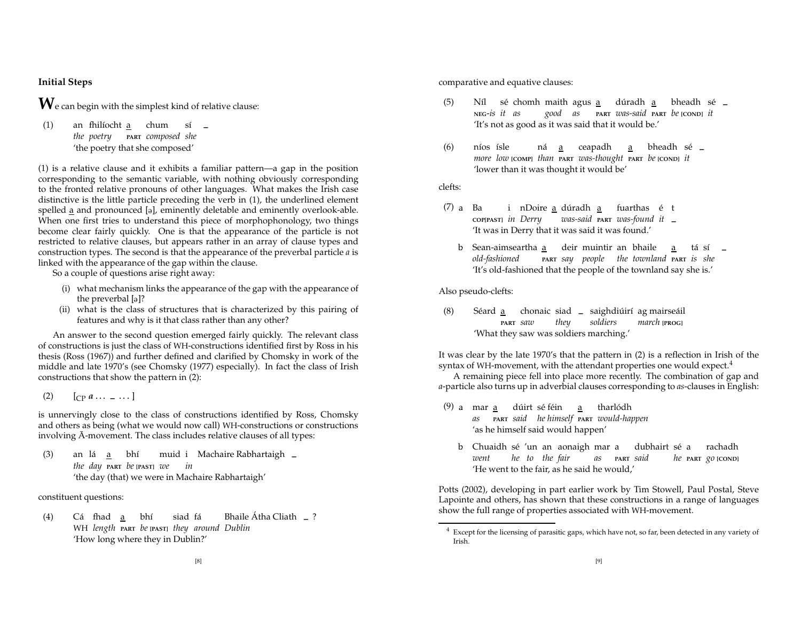# **Initial Steps**

 $\mathbf{W}_{\text{e}}$  can begin with the simplest kind of relative clause:

(1) an fhilíocht a chum sí **–** *the poetry* **PART** *composed she* 'the poetry that she composed'

(1) is <sup>a</sup> relative clause and it exhibits <sup>a</sup> familiar pattern—a gap in the position corresponding to the semantic variable, with nothing obviously corresponding to the fronted relative pronouns of other languages. What makes the Irish case distinctive is the little particle preceding the verb in (1), the underlined element spelled a and pronounced [ə], eminently deletable and eminently overlook-able. When one first tries to understand this piece of morphophonology, two things become clear fairly quickly. One is that the appearance of the particle is not restricted to relative clauses, but appears rather in an array of clause types and construction types. The second is that the appearance of the preverbal particle *<sup>a</sup>* is linked with the appearance of the gap within the clause.

So <sup>a</sup> couple of questions arise right away:

- (i) what mechanism links the appearance of the gap with the appearance of the preverbal [ə]?
- (ii) what is the class of structures that is characterized by this pairing of features and why is it that class rather than any other?

An answer to the second question emerged fairly quickly. The relevant class of constructions is just the class of WH-constructions identified first by Ross in his thesis (Ross (1967)) and further defined and clarified by Chomsky in work of the middle and late 1970's (see Chomsky (1977) especially). In fact the class of Irish constructions that show the pattern in (2):

 $\left[ \begin{matrix} 2 \end{matrix} \right] \quad \left[ \begin{matrix} \n\text{CP } a & \cdots & \text{---} \end{matrix} \right]$ 

is unnervingly close to the class of constructions identified by Ross, Chomsky and others as being (what we would now call) WH-constructions or constructions involving  $\bar{A}$ -movement. The class includes relative clauses of all types:

(3) an la´ <sup>a</sup> bh´ı muid <sup>i</sup> Machaire Rabhartaigh **–***the day* **PART** *be* **[PAST]** *we in* 'the day (that) we were in Machaire Rabhartaigh'

constituent questions:

(4) Ca´ fhadd <u>a</u> bhí siad fá Bhaile Átha Cliath <sub>–</sub> ? WH *length* **PART** *be* **[PAST]** *they around Dublin* 'How long where they in Dublin?'

comparative and equative clauses:

- (5) Níl sé chomh dúradh a bheadh sé <sub>–</sub> **NEG**-*is it as good as* **PART** *was-said* **PART** *be* **[COND]** *it* 'It's not as good as it was said that it would be.'
- (6) níos ísle ná a a bheadh sé **–** *more low* **[COMP]** *than* **PART** *was-thought* **PART** *be* **[COND]** *it* 'lower than it was thought it would be'

clefts:

- $(7)$  a Ba i nDoire a dúradh a fuarthas é t **COP[PAST]** *in Derry was-said* **PART** *was-found it* **–**'It was in Derry that it was said it was found.'
	- b. Sean-aimsearthadeir muintir an bhaile a tásí **–** *old-fashioned* **PART** *say people the townland* **PART** *is she* 'It's old-fashioned that the people of the townland say she is.'

Also pseudo-clefts:

(8) Séard <u>a</u> chonaic siad <sub>—</sub> saighdiúirí ag mairseáil **PART** *saw they soldiers march* **[PROG]** 'What they saw was soldiers marching.'

It was clear by the late 1970's that the pattern in (2) is <sup>a</sup> reflection in Irish of the syntax of WH-movement, with the attendant properties one would expect.<sup>4</sup>

A remaining piece fell into place more recently. The combination of gap and *<sup>a</sup>*-particle also turns up in adverbial clauses corresponding to *as*-clauses in English:

- $(9)$  a mar a dúirt sé féin a tharlódh *as* **PART** *said he himself* **PART** *would-happen* 'as he himself said would happen'
	- b) Chuaidh sé 'un an aonaigh mar a dubhairt sé a rachadh *went he to the fair as* **PART** *said he* **PART** *go* **[COND]** 'He went to the fair, as he said he would,'

Potts (2002), developing in par<sup>t</sup> earlier work by Tim Stowell, Paul Postal, Steve Lapointe and others, has shown that these constructions in <sup>a</sup> range of languages show the full range of properties associated with WH-movement.

 $4$  Except for the licensing of parasitic gaps, which have not, so far, been detected in any variety of Irish.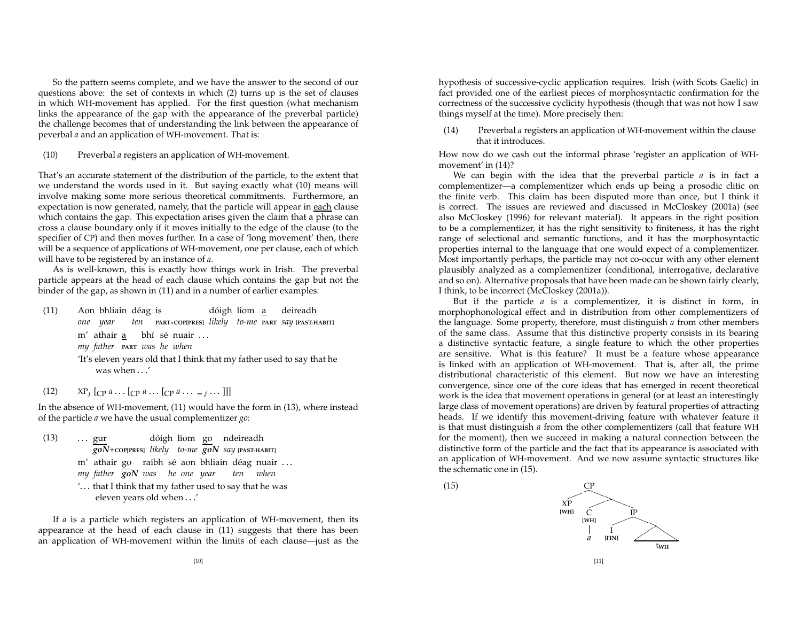So the pattern seems complete, and we have the answer to the second of our questions above: the set of contexts in which (2) turns up is the set of clauses in which WH-movement has applied. For the first question (what mechanism links the appearance of the gap with the appearance of the preverbal particle) the challenge becomes that of understanding the link between the appearance of peverbal *<sup>a</sup>* and an application of WH-movement. That is:

#### (10) Preverbal *<sup>a</sup>* registers an application of WH-movement.

That's an accurate statement of the distribution of the particle, to the extent that we understand the words used in it. But saying exactly what (10) means will involve making some more serious theoretical commitments. Furthermore, an expectation is now generated, namely, that the particle will appear in each clause which contains the gap. This expectation arises given the claim that <sup>a</sup> phrase can cross a clause boundary only if it moves initially to the edge of the clause (to the specifier of CP) and then moves further. In <sup>a</sup> case of 'long movement' then, there will be a sequence of applications of WH-movement, one per clause, each of which will have to be registered by an instance of *<sup>a</sup>*.

As is well-known, this is exactly how things work in Irish. The preverbal particle appears at the head of each clause which contains the gap but not the binder of the gap, as shown in (11) and in <sup>a</sup> number of earlier examples:

- (11) Aon bhliain déag is dóigh liom a deireadh *one year ten* **PART+COP[PRES]** *likely to-me* **PART** *say* **[PAST-HABIT]** m'athair a bhí sé nuair ... *my father* **PART** *was he when* 'It's eleven years old that <sup>I</sup> think that my father used to say that he was when  $\ldots'$
- $(XP_j$  [<sub>CP</sub>  $a$  . [<sub>CP</sub>  $a$  . [<sub>CP</sub>  $a$  . . . . ]]]

 In the absence of WH-movement, (11) would have the form in (13), where instead of the particle *<sup>a</sup>* we have the usual complementizer *go*:

 *goN*+**COP[PRES]** *likely to-me go<sup>N</sup> say* **[PAST-HABIT]** (13) gur dóigh liom go ndeireadh m′ athair goµ raibh sé aon bhliain déag nuair ... *my father go<sup>N</sup> was he one year ten when*  $\dot{\ }$  . . . that I think that my father used to say that he was eleven years old when  $\ldots'$ 

If *a* is <sup>a</sup> particle which registers an application of WH-movement, then its appearance at the head of each clause in (11) suggests that there has been an application of WH-movement within the limits of each clause—just as the

hypothesis of successive-cyclic application requires. Irish (with Scots Gaelic) in fact provided one of the earliest pieces of morphosyntactic confirmation for the correctness of the successive cyclicity hypothesis (though that was not how <sup>I</sup> saw things myself at the time). More precisely then:

(14) Preverbal *<sup>a</sup>* registers an application of WH-movement within the clause that it introduces.

How now do we cash out the informal phrase 'register an application of WHmovement' in (14)?

We can begin with the idea that the preverbal particle *<sup>a</sup>* is in fact <sup>a</sup> complementizer—a complementizer which ends up being <sup>a</sup> prosodic clitic on the finite verb. This claim has been disputed more than once, but <sup>I</sup> think it is correct. The issues are reviewed and discussed in McCloskey (2001a) (see also McCloskey (1996) for relevant material). It appears in the right position to be <sup>a</sup> complementizer, it has the right sensitivity to finiteness, it has the right range of selectional and semantic functions, and it has the morphosyntactic properties internal to the language that one would expec<sup>t</sup> of <sup>a</sup> complementizer. Most importantly perhaps, the particle may not co-occur with any other element plausibly analyzed as <sup>a</sup> complementizer (conditional, interrogative, declarative and so on). Alternative proposals that have been made can be shown fairly clearly, I think, to be incorrect (McCloskey (2001a)).

But if the particle *<sup>a</sup>* is <sup>a</sup> complementizer, it is distinct in form, in morphophonological effect and in distribution from other complementizers of the language. Some property, therefore, must distinguish *<sup>a</sup>* from other members of the same class. Assume that this distinctive property consists in its bearing a distinctive syntactic feature, <sup>a</sup> single feature to which the other properties are sensitive. What is this feature? It must be <sup>a</sup> feature whose appearance is linked with an application of WH-movement. That is, after all, the prime distributional characteristic of this element. But now we have an interesting convergence, since one of the core ideas that has emerged in recent theoretical work is the idea that movement operations in general (or at least an interestingly large class of movement operations) are driven by featural properties of attracting heads. If we identify this movement-driving feature with whatever feature it is that must distinguish *<sup>a</sup>* from the other complementizers (call that feature WH for the moment), then we succeed in making <sup>a</sup> natural connection between the distinctive form of the particle and the fact that its appearance is associated with an application of WH-movement. And we now assume syntactic structures like the schematic one in (15).



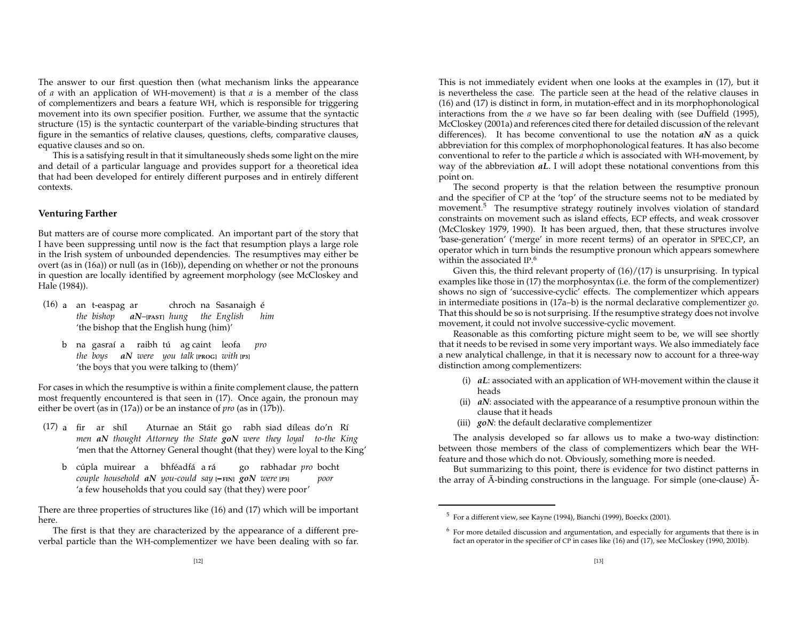The answer to our first question then (what mechanism links the appearance of *a* with an application of WH-movement) is that *<sup>a</sup>* is <sup>a</sup> member of the class of complementizers and bears <sup>a</sup> feature WH, which is responsible for triggering movement into its own specifier position. Further, we assume that the syntactic structure (15) is the syntactic counterpart of the variable-binding structures that figure in the semantics of relative clauses, questions, clefts, comparative clauses, equative clauses and so on.

This is <sup>a</sup> satisfying result in that it simultaneously sheds some light on the mire and detail of <sup>a</sup> particular language and provides suppor<sup>t</sup> for <sup>a</sup> theoretical idea that had been developed for entirely different purposes and in entirely different contexts.

#### **Venturing Farther**

But matters are of course more complicated. An important par<sup>t</sup> of the story that I have been suppressing until now is the fact that resumption plays <sup>a</sup> large role in the Irish system of unbounded dependencies. The resumptives may either be overt (as in (16a)) or null (as in (16b)), depending on whether or not the pronouns in question are locally identified by agreemen<sup>t</sup> morphology (see McCloskey and Hale (1984)).

- (16) a. an t-easpag ar chroch na Sasanaigh e´ *the bishop aN*–**[PAST]** *hung the English him* 'the bishop that the English hung (him)'
	- b. na gasra´ı <sup>a</sup> raibh tu´ ag caint leofa *pro the boys aN were you talk* **[PROG]** *with* **[P3]** 'the boys that you were talking to (them)'

For cases in which the resumptive is within <sup>a</sup> finite complement clause, the pattern most frequently encountered is that seen in (17). Once again, the pronoun may either be overt (as in (17a)) or be an instance of *pro* (as in (17b)).

- (17) a fir ar shíl Aturnae an Stáit go rabh siad díleas do'n Rí *men aN thought Attorney the State go<sup>N</sup> were they loyal to-the King* 'men that the Attorney General thought (that they) were loyal to the King'
	- b cúpla muirear a bhféadfá a<sub>'</sub>rá ago rabhadar *pro* bocht *couple household aN you-could say* **[ FIN]** *go<sup>N</sup> were* **[P3]** *poor* 'a few households that you could say (that they) were poor'

There are three properties of structures like (16) and (17) which will be important here.

The first is that they are characterized by the appearance of <sup>a</sup> different preverbal particle than the WH-complementizer we have been dealing with so far.

This is not immediately evident when one looks at the examples in (17), but it is nevertheless the case. The particle seen at the head of the relative clauses in (16) and (17) is distinct in form, in mutation-effect and in its morphophonological interactions from the *<sup>a</sup>* we have so far been dealing with (see Duffield (1995), McCloskey (2001a) and references cited there for detailed discussion of the relevant differences). It has become conventional to use the notation *aN* as <sup>a</sup> quick abbreviation for this complex of morphophonological features. It has also become conventional to refer to the particle *<sup>a</sup>* which is associated with WH-movement, by way of the abbreviation *aL*. <sup>I</sup> will adopt these notational conventions from this point on.

The second property is that the relation between the resumptive pronoun and the specifier of CP at the 'top' of the structure seems not to be mediated by movement.<sup>5</sup> The resumptive strategy routinely involves violation of standard constraints on movement such as island effects, ECP effects, and weak crossover (McCloskey 1979, 1990). It has been argued, then, that these structures involve 'base-generation' ('merge' in more recent terms) of an operator in SPEC,CP, an operator which in turn binds the resumptive pronoun which appears somewhere within the associated IP. 6

Given this, the thir d relevant property of (16)/(17) is unsurprising. In typical examples like those in (17) the morphosyntax (i.e. the form of the complementizer) shows no sign of 'successive-cyclic' effects. The complementizer which appears in intermediate positions in (17a–b) is the normal declarative complementizer *go*. That this should be so is not surprising. If the resumptive strategy does not involve movement, it could not involve successive-cyclic movement.

Reasonable as this comforting picture might seem to be, we will see shortly that it needs to be revised in some very important ways. We also immediately face a new analytical challenge, in that it is necessary now to account for <sup>a</sup> three-way distinction among complementizers:

- (i) *aL*: associated with an application of WH-movement within the clause it heads
- (ii) *aN*: associated with the appearance of <sup>a</sup> resumptive pronoun within the clause that it heads
- (iii) *goN*: the default declarative complementizer

The analysis developed so far allows us to make <sup>a</sup> two-way distinction: between those members of the class of complementizers which bear the WHfeature and those which do not. Obviously, something more is needed.

But summarizing to this point, there is evidence for two distinct patterns in the array of  $\bar{A}$ -binding constructions in the language. For simple (one-clause)  $\bar{A}$ -

 $^5\,$  For a different view, see Kayne (1994), Bianchi (1999), Boeckx (2001).

 $<sup>6</sup>$  For more detailed discussion and argumentation, and especially for arguments that there is in</sup> fact an operator in the specifier of CP in cases like (16) and (17), see McCloskey (1990, 2001b).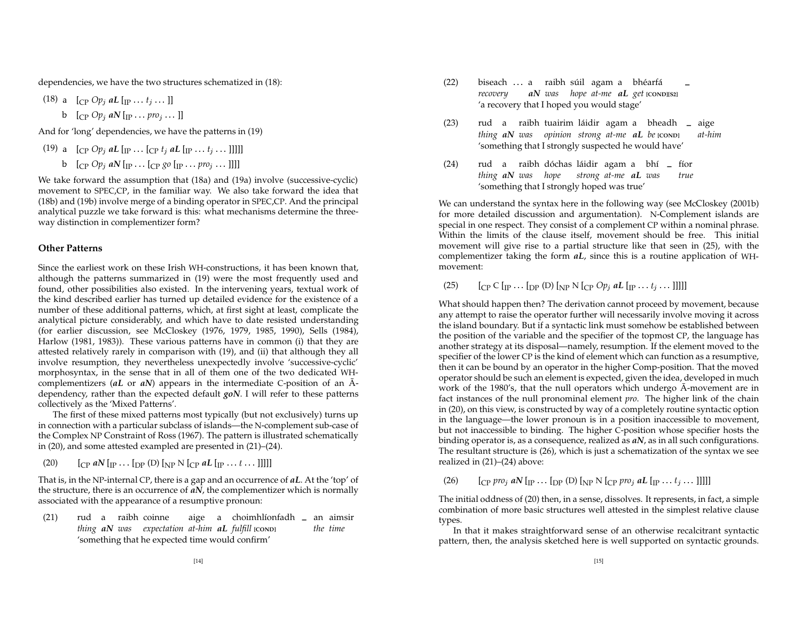dependencies, we have the two structures schematized in (18):

 $(18)$  a  $[CP$  *Op<sub>j</sub>* aL  $[IP \dots t_j \dots]$ 

$$
b \quad [C_P \; Op_j \; aN \; [m \; \ldots \; pro_j \; \ldots \;]]
$$

And for 'long' dependencies, we have the patterns in (19)

(19) a 
$$
\left[\begin{array}{cc}\n\text{CP } Op_j \text{ aL } \text{Irr } \dots \text{ [CP } t_j \text{ aL } \text{[IP } \dots t_j \dots \text{]]}\n\end{array}\right]
$$
\nb 
$$
\left[\begin{array}{cc}\n\text{CP } Op_j \text{ aN } \text{Irr } \dots \text{ [CP } go \text{ [IP } \dots \text{ pro}_j \dots \text{]]}\n\end{array}\right]
$$

analytical puzzle we take forward is this: what mechanisms determine the three- We take forwar d the assumption that (18a) and (19a) involve (successive-cyclic) movement to SPEC,CP, in the familiar way. We also take forwar d the idea that (18b) and (19b) involve merge of <sup>a</sup> binding operator in SPEC,CP. And the principal way distinction in complementizer form?

#### **Other Patterns**

Since the earliest work on these Irish WH-constructions, it has been known that, although the patterns summarized in (19) were the most frequently used and found, other possibilities also existed. In the intervening years, textual work of the kind described earlier has turned up detailed evidence for the existence of <sup>a</sup> number of these additional patterns, which, at first sight at least, complicate the analytical picture considerably, and which have to date resisted understanding (for earlier discussion, see McCloskey (1976, 1979, 1985, 1990), Sells (1984), Harlow (1981, 1983)). These various patterns have in common (i) that they are attested relatively rarely in comparison with (19), and (ii) that although they all involve resumption, they nevertheless unexpectedly involve 'successive-cyclic' morphosyntax, in the sense that in all of them one of the two dedicated WHcomplementizers (*aL* or *aN*) appears in the intermediate <sup>C</sup>-position of an A- ¯ dependency, rather than the expected default *goN*. <sup>I</sup> will refer to these patterns collectively as the 'Mixed Patterns'.

The first of these mixed patterns most typically (but not exclusively) turns up in connection with <sup>a</sup> particular subclass of islands—the <sup>N</sup>-complement sub-case of the Complex NP Constraint of Ross (1967). The pattern is illustrated schematically in (20), and some attested exampled are presented in (21)–(24).

 $(20)$  $_{\rm P}$  *aN* [<sub>IP</sub> ... [<sub>DP</sub> (D) [<sub>NP</sub> N [<sub>CP</sub> *aL* [<sub>IP</sub> ... *t* ... ]]]]]

 That is, in the NP-internal CP, there is <sup>a</sup> gap and an occurrence of *aL*. At the 'top' of the structure, there is an occurrence of *aN*, the complementizer which is normally associated with the appearance of <sup>a</sup> resumptive pronoun:

(21) rud <sup>a</sup> raibh coinne aige <sup>a</sup> choimhl´ıonfadh **–** an aimsir *thing aN was expectation at-him aL fulfill* **[COND]** *the time* 'something that he expected time would confirm'

- (22) biseach ... a raibh súil agam a bhéarfá **\_** *recovery aN was hope at-me aL ge<sup>t</sup>* **[COND][S2]** 'a recovery that <sup>I</sup> hoped you would stage'
- (23) rud <sup>a</sup> raibh tuairim laidir ´ agam <sup>a</sup> bheadh **–** aige *thing aN was opinion strong at-me aL be* **[COND]** *at-him* 'something that <sup>I</sup> strongly suspected he would have'
- (24) rud a raibh dóchas láidir agam a bhí **\_** fíor *thing aN was hope strong at-me aL was true* 'something that <sup>I</sup> strongly hoped was true'

We can understand the syntax here in the following way (see McCloskey (2001b) for more detailed discussion and argumentation). <sup>N</sup>-Complement islands are special in one respect. They consist of <sup>a</sup> complement CP within <sup>a</sup> nominal phrase. Within the limits of the clause itself, movement should be free. This initial movement will give rise to <sup>a</sup> partial structure like that seen in (25), with the complementizer taking the form *aL*, since this is <sup>a</sup> routine application of WHmovement:

(25)  $\left[ C P \text{ } C \text{ } [P \cdots [DP \text{ } (D) \text{ } ]_{NP} \text{ } N \text{ } [C P \text{ } Op_j \text{ } aL \text{ } [I P \cdots t_j \cdots ] ] ] \right]$ 

 another strategy at its disposal—namely, resumption. If the element moved to the What should happen then? The derivation cannot proceed by movement, because any attempt to raise the operator further will necessarily involve moving it across the island boundary. But if <sup>a</sup> syntactic link must somehow be established between the position of the variable and the specifier of the topmost CP, the language has specifier of the lower CP is the kind of element which can function as <sup>a</sup> resumptive, then it can be bound by an operator in the higher Comp-position. That the moved operator should be such an element is expected, given the idea, developed in much work of the 1980's, that the null operators which undergo Ā-movement are in fact instances of the null pronominal element *pro*. The higher link of the chain in (20), on this view, is constructed by way of <sup>a</sup> completely routine syntactic option in the language—the lower pronoun is in <sup>a</sup> position inaccessible to movement, but not inaccessible to binding. The higher <sup>C</sup>-position whose specifier hosts the binding operator is, as <sup>a</sup> consequence, realized as *aN*, as in all such configurations. The resultant structure is (26), which is just <sup>a</sup> schematization of the syntax we see realized in (21)–(24) above:

(26)  $\left[ \text{Cp } pro_j aN \left[ \text{p } \ldots \text{p} \right] \text{D} \right] \left[ \text{Np } N \left[ \text{Cp } pro_j aL \left[ \text{p } \ldots t_j \ldots \right] \right] \right]$ 

The initial oddness of (20) then, in <sup>a</sup> sense, dissolves. It represents, in fact, <sup>a</sup> simple combination of more basic structures well attested in the simplest relative clause types.

 pattern, then, the analysis sketched here is well supported on syntactic grounds. In that it makes straightforwar d sense of an otherwise recalcitrant syntactic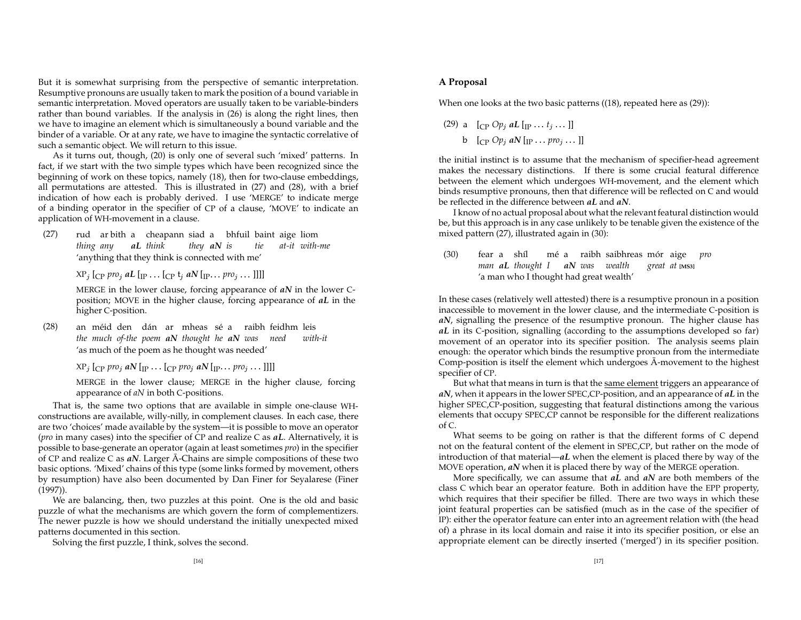But it is somewhat surprising from the perspective of semantic interpretation. Resumptive pronouns are usually taken to mark the position of <sup>a</sup> bound variable in semantic interpretation. Moved operators are usually taken to be variable-binders rather than bound variables. If the analysis in (26) is along the right lines, then we have to imagine an element which is simultaneously <sup>a</sup> bound variable and the binder of <sup>a</sup> variable. Or at any rate, we have to imagine the syntactic correlative of such <sup>a</sup> semantic object. We will return to this issue.

As it turns out, though, (20) is only one of several such 'mixed' patterns. In fact, if we start with the two simple types which have been recognized since the beginning of work on these topics, namely (18), then for two-clause embeddings, all permutations are attested. This is illustrated in (27) and (28), with <sup>a</sup> brief indication of how each is probably derived. <sup>I</sup> use 'MERGE' to indicate merge of a binding operator in the specifier of CP of <sup>a</sup> clause, 'MOVE' to indicate an application of WH-movement in <sup>a</sup> clause.

(27) rud ar bith <sup>a</sup> cheapann siad <sup>a</sup> bhfuil baint aige liom *thing any aL think they aN is tie at-it with-me* 'anything that they think is connected with me'

 $\chi_{P_j}$  [<sub>CP</sub> pro<sub>j</sub> aL [<sub>IP</sub>  $\ldots$  [<sub>CP</sub> t<sub>j</sub> aN [<sub>IP</sub>  $\ldots$  pro<sub>j</sub>  $\ldots$  ]]]]

 MERGE in the lower clause, forcing appearance of *aN* in the lower Cposition; MOVE in the higher clause, forcing appearance of *aL* in the higher <sup>C</sup>-position.

 $(28)$ méid den dán ar mheas sé a raibh-feidhm-leis *the much of-the poem aN thought he aN was need with-it* 'as much of the poem as he thought was needed'

 $\chi_{\text{P}_j}$  [<sub>CP</sub> pro<sub>j</sub> aN [<sub>IP</sub>  $\ldots$  [<sub>CP</sub> pro<sub>j</sub> aN [<sub>IP</sub>  $\ldots$  pro<sub>j</sub>  $\ldots$  ]]]]

 MERGE in the lower clause; MERGE in the higher clause, forcing appearance of *aN* in both <sup>C</sup>-positions.

 are two 'choices' made available by the system—it is possible to move an operator That is, the same two options that are available in simple one-clause WHconstructions are available, willy-nilly, in complement clauses. In each case, there (*pro* in many cases) into the specifier of CP and realize C as *aL*. Alternatively, it is possible to base-generate an operator (again at least sometimes *pro*) in the specifier of CP and realize C as aN. Larger  $\bar{A}$ -Chains are simple compositions of these two basic options. 'Mixed' chains of this type (some links formed by movement, others by resumption) have also been documented by Dan Finer for Seyalarese (Finer (1997)).

We are balancing, then, two puzzles at this point. One is the old and basic puzzle of what the mechanisms are which govern the form of complementizers. The newer puzzle is how we should understand the initially unexpected mixed patterns documented in this section.

Solving the first puzzle, <sup>I</sup> think, solves the second.

# **A Proposal**

When one looks at the two basic patterns ((18), repeated here as (29)):

(29) a 
$$
[CP Op_j aL [IP...t_j...]]
$$
  
b  $[CP Op_j aN [IP...pro_j...]]$ 

 between the element which undergoes WH-movement, and the element which be reflected in the difference between *aL* and *aN*. the initial instinct is to assume that the mechanism of specifier-head agreemen<sup>t</sup> makes the necessary distinctions. If there is some crucial featural difference binds resumptive pronouns, then that difference will be reflected on C and would

I know of no actual proposal about what the relevant featural distinction would be, but this approach is in any case unlikely to be tenable given the existence of the mixed pattern (27), illustrated again in (30):

 $(30)$  fear a shíl me´ a raibh saibhreas mor´ aige *pro man aL thought <sup>I</sup> aN was wealth grea<sup>t</sup> at* **[MS3]** 'a man who <sup>I</sup> thought had grea<sup>t</sup> wealth'

In these cases (relatively well attested) there is <sup>a</sup> resumptive pronoun in <sup>a</sup> position inaccessible to movement in the lower clause, and the intermediate <sup>C</sup>-position is *aN*, signalling the presence of the resumptive pronoun. The higher clause has *aL* in its <sup>C</sup>-position, signalling (according to the assumptions developed so far) movement of an operator into its specifier position. The analysis seems plain enough: the operator which binds the resumptive pronoun from the intermediate Comp-position is itself the element which undergoes  $\bar{\text{A}}$ -movement to the highest specifier of CP.

But what that means in turn is that the <u>same element</u> triggers an appearance of *aN*, when it appears in the lower SPEC,CP-position, and an appearance of *aL* in the higher SPEC,CP-position, suggesting that featural distinctions among the various elements that occupy SPEC,CP cannot be responsible for the different realizations of C.

What seems to be going on rather is that the different forms of C depend not on the featural content of the element in SPEC,CP, but rather on the mode of introduction of that material—*aL* when the element is placed there by way of the MOVE operation, *aN* when it is placed there by way of the MERGE operation.

More specifically, we can assume that *aL* and *aN* are both members of the class C which bear an operator feature. Both in addition have the EPP property, which requires that their specifier be filled. There are two ways in which these joint featural properties can be satisfied (much as in the case of the specifier of IP): either the operator feature can enter into an agreemen<sup>t</sup> relation with (the head of) <sup>a</sup> phrase in its local domain and raise it into its specifier position, or else an appropriate element can be directly inserted ('merged') in its specifier position.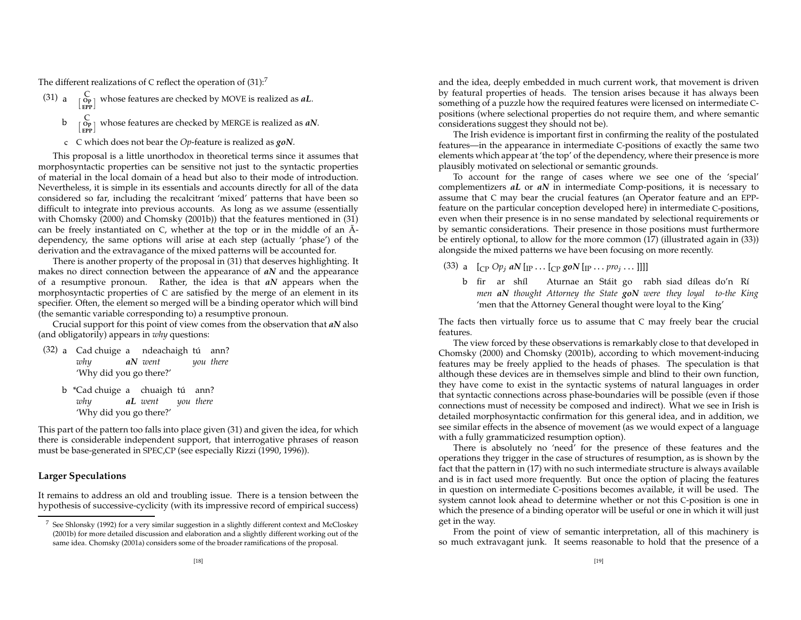The different realizations of C reflect the operation of  $(31)$ :<sup>7</sup>

- (31) a  $\begin{bmatrix} C \\ \text{EPP} \end{bmatrix}$  whose features are checked by MOVE is realized as *aL*.
	- **b**  $\begin{bmatrix} C \\ \text{Op} \end{bmatrix}$  whose features are checked by MERGE is realized as *aN*.
	- c. C which does not bear the *Op*-feature is realized as *goN*.

This proposal is <sup>a</sup> little unorthodox in theoretical terms since it assumes that morphosyntactic properties can be sensitive not just to the syntactic properties of material in the local domain of <sup>a</sup> head but also to their mode of introduction. Nevertheless, it is simple in its essentials and accounts directly for all of the data considered so far, including the recalcitrant 'mixed' patterns that have been so difficult to integrate into previous accounts. As long as we assume (essentially with Chomsky (2000) and Chomsky (2001b)) that the features mentioned in (31) can be freely instantiated on C, whether at the top or in the middle of an  $\bar{A}$ dependency, the same options will arise at each step (actually 'phase') of the derivation and the extravagance of the mixed patterns will be accounted for.

There is another property of the proposal in (31) that deserves highlighting. It makes no direct connection between the appearance of *aN* and the appearance of a resumptive pronoun. Rather, the idea is that *aN* appears when the morphosyntactic properties of C are satisfied by the merge of an element in its specifier. Often, the element so merged will be <sup>a</sup> binding operator which will bind (the semantic variable corresponding to) <sup>a</sup> resumptive pronoun.

Crucial suppor<sup>t</sup> for this point of view comes from the observation that *aN* also (and obligatorily) appears in *why* questions:

- $(32)$  a Cad chuige a ndeachaigh tú ann? *why aN went you there* 'Why did you go there?'
	- b"Cad chuige a chuaigh tú ann? *why aL went you there* 'Why did you go there?'

This par<sup>t</sup> of the pattern too falls into place given (31) and given the idea, for which there is considerable independent support, that interrogative phrases of reason must be base-generated in SPEC,CP (see especially Rizzi (1990, 1996)).

# **Larger Speculations**

It remains to address an old and troubling issue. There is <sup>a</sup> tension between the hypothesis of successive-cyclicity (with its impressive recor d of empirical success)

and the idea, deeply embedded in much current work, that movement is driven by featural properties of heads. The tension arises because it has always been something of <sup>a</sup> puzzle how the required features were licensed on intermediate Cpositions (where selectional properties do not require them, and where semantic considerations sugges<sup>t</sup> they should not be).

The Irish evidence is important first in confirming the reality of the postulated features—in the appearance in intermediate <sup>C</sup>-positions of exactly the same two elements which appear at 'the top' of the dependency, where their presence is more plausibly motivated on selectional or semantic grounds.

To account for the range of cases where we see one of the 'special' complementizers *aL* or *aN* in intermediate Comp-positions, it is necessary to assume that C may bear the crucial features (an Operator feature and an EPPfeature on the particular conception developed here) in intermediate <sup>C</sup>-positions, even when their presence is in no sense mandated by selectional requirements or by semantic considerations. Their presence in those positions must furthermore be entirely optional, to allow for the more common (17) (illustrated again in (33)) alongside the mixed patterns we have been focusing on more recently.

(33) a  $\left[\begin{smallmatrix}C_P&Op_j & aN\end{smallmatrix}\right]$   $\left[\begin{smallmatrix}P&O \\IP&1\end{smallmatrix}\right]$   $\left[\begin{smallmatrix}C_P&goN\end{smallmatrix}\right]$   $\left[\begin{smallmatrix}P&O_j&1\end{smallmatrix}\right]$ 

b fir ar shíl - Aturnae-an-Stáit go rabh-siad-díleas-do'n Rí *men aN thought Attorney the State go<sup>N</sup> were they loyal to-the King* 'men that the Attorney General thought were loyal to the King'

 The facts then virtually force us to assume that C may freely bear the crucial features.

The view forced by these observations is remarkably close to that developed in Chomsky (2000) and Chomsky (2001b), according to which movement-inducing features may be freely applied to the heads of phases. The speculation is that although these devices are in themselves simple and blind to their own function, they have come to exist in the syntactic systems of natural languages in order that syntactic connections across phase-boundaries will be possible (even if those connections must of necessity be composed and indirect). What we see in Irish is detailed morphosyntactic confirmation for this general idea, and in addition, we see similar effects in the absence of movement (as we would expec<sup>t</sup> of <sup>a</sup> language with <sup>a</sup> fully grammaticized resumption option).

There is absolutely no 'need' for the presence of these features and the operations they trigger in the case of structures of resumption, as is shown by the fact that the pattern in (17) with no such intermediate structure is always available and is in fact used more frequently. But once the option of placing the features in question on intermediate <sup>C</sup>-positions becomes available, it will be used. The system cannot look ahead to determine whether or not this <sup>C</sup>-position is one in which the presence of <sup>a</sup> binding operator will be useful or one in which it will just ge<sup>t</sup> in the way.

From the point of view of semantic interpretation, all of this machinery is so much extravagant junk. It seems reasonable to hold that the presence of <sup>a</sup>

<sup>&</sup>lt;sup>7</sup> See Shlonsky (1992) for a very similar suggestion in a slightly different context and McCloskey (2001b) for more detailed discussion and elaboration and <sup>a</sup> slightly different working out of the same idea. Chomsky (2001a) considers some of the broader ramifications of the proposal.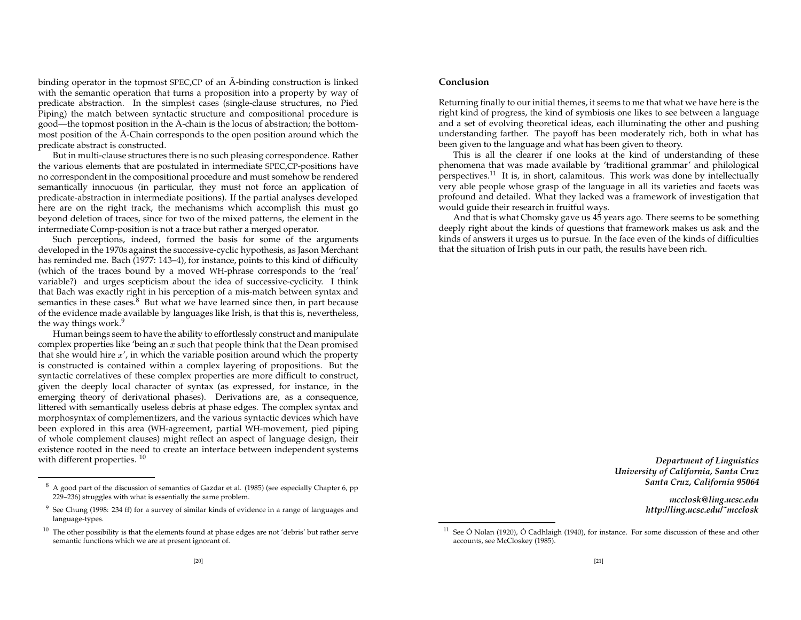binding operator in the topmost SPEC, CP of an  $\bar{A}$ -binding construction is linked with the semantic operation that turns <sup>a</sup> proposition into <sup>a</sup> property by way of predicate abstraction. In the simplest cases (single-clause structures, no Pied Piping) the match between syntactic structure and compositional procedure is good—the topmost position in the  $\bar{A}$ -chain is the locus of abstraction; the bottommost position of the  $\bar{\text{A}}$ -Chain corresponds to the open position around which the predicate abstract is constructed.

But in multi-clause structures there is no such pleasing correspondence. Rather the various elements that are postulated in intermediate SPEC,CP-positions have no correspondent in the compositional procedure and must somehow be rendered semantically innocuous (in particular, they must not force an application of predicate-abstraction in intermediate positions). If the partial analyses developed here are on the right track, the mechanisms which accomplish this must go beyond deletion of traces, since for two of the mixed patterns, the element in the intermediate Comp-position is not <sup>a</sup> trace but rather <sup>a</sup> merged operator.

Such perceptions, indeed, formed the basis for some of the arguments developed in the 1970s against the successive-cyclic hypothesis, as Jason Merchant has reminded me. Bach (1977: 143–4), for instance, points to this kind of difficulty (which of the traces bound by <sup>a</sup> moved WH-phrase corresponds to the 'real' variable?) and urges scepticism about the idea of successive-cyclicity. <sup>I</sup> think that Bach was exactly right in his perception of <sup>a</sup> mis-match between syntax and semantics in these cases.<sup>8</sup> But what we have learned since then, in part because of the evidence made available by languages like Irish, is that this is, nevertheless, the way things work.<sup>9</sup>

Human beings seem to have the ability to effortlessly construct and manipulate complex properties like 'being an  $x$  such that people think that the Dean promised that she would hire  $x'$ , in which the variable position around which the property is constructed is contained within <sup>a</sup> complex layering of propositions. But the syntactic correlatives of these complex properties are more difficult to construct, given the deeply local character of syntax (as expressed, for instance, in the emerging theory of derivational phases). Derivations are, as <sup>a</sup> consequence, littered with semantically useless debris at phase edges. The complex syntax and morphosyntax of complementizers, and the various syntactic devices which have been explored in this area (WH-agreement, partial WH-movement, pied piping of whole complement clauses) might reflect an aspec<sup>t</sup> of language design, their existence rooted in the need to create an interface between independent systems with different properties.  $^{10}$ 

# **Conclusion**

Returning finally to our initial themes, it seems to me that what we have here is the right kind of progress, the kind of symbiosis one likes to see between <sup>a</sup> language and <sup>a</sup> set of evolving theoretical ideas, each illuminating the other and pushing understanding farther. The payoff has been moderately rich, both in what has been given to the language and what has been given to theory.

This is all the clearer if one looks at the kind of understanding of these phenomena that was made available by 'traditional grammar' and philological perspectives.<sup>11</sup> It is, in short, calamitous. This work was done by intellectually very able people whose grasp of the language in all its varieties and facets was profound and detailed. What they lacked was <sup>a</sup> framework of investigation that would guide their research in fruitful ways.

And that is what Chomsky gave us 45 years ago. There seems to be something deeply right about the kinds of questions that framework makes us ask and the kinds of answers it urges us to pursue. In the face even of the kinds of difficulties that the situation of Irish puts in our path, the results have been rich.

> *Department of Linguistics University of California, Santa Cruz Santa Cruz, California 95064*

> > *mcclosk@ling.ucsc.edu http://ling.ucsc.edu/˜mcclosk*

 $8\,$  A good part of the discussion of semantics of Gazdar et al. (1985) (see especially Chapter 6, pp 229–236) struggles with what is essentially the same problem.

 $9\,$  See Chung (1998: 234 ff) for a survey of similar kinds of evidence in a range of languages and language-types.

 $10$  The other possibility is that the elements found at phase edges are not 'debris' but rather serve semantic functions which we are at presen<sup>t</sup> ignorant of.

<sup>&</sup>lt;sup>11</sup> See Ó Nolan (1920), Ó Cadhlaigh (1940), for instance. For some discussion of these and other accounts, see McCloskey (1985).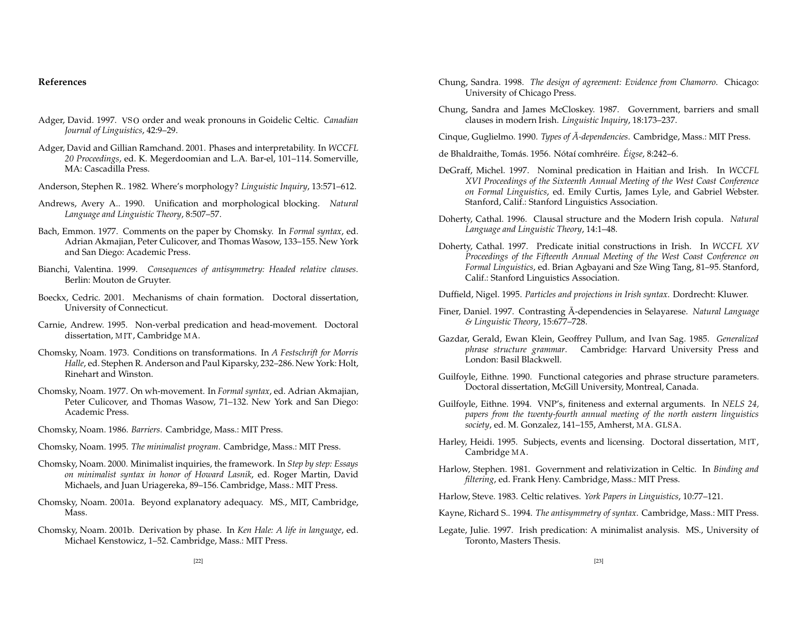# **References**

- Adger, David. 1997. VSO order and weak pronouns in Goidelic Celtic. *Canadian Journal of Linguistics*, 42:9–29.
- Adger, David and Gillian Ramchand. 2001. Phases and interpretability. In *WCCFL 20 Proceedings*, ed. K. Megerdoomian and L.A. Bar-el, 101–114. Somerville, MA: Cascadilla Press.
- Anderson, Stephen R.. 1982. Where's morphology? *Linguistic Inquiry*, 13:571–612.
- Andrews, Avery A.. 1990. Unification and morphological blocking. *Natural Language and Linguistic Theory*, 8:507–57.
- Bach, Emmon. 1977. Comments on the paper by Chomsky. In *Formal syntax*, ed. Adrian Akmajian, Peter Culicover, and Thomas Wasow, 133–155. New York and San Diego: Academic Press.
- Bianchi, Valentina. 1999. *Consequences of antisymmetry: Headed relative clauses*. Berlin: Mouton de Gruyter.
- Boeckx, Cedric. 2001. Mechanisms of chain formation. Doctoral dissertation, University of Connecticut.
- Carnie, Andrew. 1995. Non-verbal predication and head-movement. Doctoral dissertation, MIT, Cambridge MA.
- Chomsky, Noam. 1973. Conditions on transformations. In *A Festschrift for Morris Halle*, ed. Stephen R. Anderson and Paul Kiparsky, 232–286. New York: Holt, Rinehart and Winston.
- Chomsky, Noam. 1977. On wh-movement. In *Formal syntax*, ed. Adrian Akmajian, Peter Culicover, and Thomas Wasow, 71–132. New York and San Diego: Academic Press.
- Chomsky, Noam. 1986. *Barriers*. Cambridge, Mass.: MIT Press.
- Chomsky, Noam. 1995. *The minimalist program*. Cambridge, Mass.: MIT Press.
- Chomsky, Noam. 2000. Minimalist inquiries, the framework. In *Step by step: Essays on minimalist syntax in honor of Howard Lasnik*, ed. Roger Martin, David Michaels, and Juan Uriagereka, 89–156. Cambridge, Mass.: MIT Press.
- Chomsky, Noam. 2001a. Beyond explanatory adequacy. MS., MIT, Cambridge, Mass.
- Chomsky, Noam. 2001b. Derivation by phase. In *Ken Hale: A life in language*, ed. Michael Kenstowicz, 1–52. Cambridge, Mass.: MIT Press.
- Chung, Sandra. 1998. *The design of agreement: Evidence from Chamorro*. Chicago: University of Chicago Press.
- Chung, Sandra and James McCloskey. 1987. Government, barriers and small clauses in modern Irish. *Linguistic Inquiry*, 18:173–237.
- Cinque, Guglielmo. 1990. *Types of A-dependencies ¯* . Cambridge, Mass.: MIT Press.
- de Bhaldraithe, Tomás. 1956. Nótaí comhréire. *Éigse,* 8:242–6.
- DeGraff, Michel. 1997. Nominal predication in Haitian and Irish. In *WCCFL XVI Proceedings of the Sixteenth Annual Meeting of the West Coast Conference on Formal Linguistics*, ed. Emily Curtis, James Lyle, and Gabriel Webster. Stanford, Calif.: Stanfor d Linguistics Association.
- Doherty, Cathal. 1996. Clausal structure and the Modern Irish copula. *Natural Language and Linguistic Theory*, 14:1–48.
- Doherty, Cathal. 1997. Predicate initial constructions in Irish. In *WCCFL XV Proceedings of the Fifteenth Annual Meeting of the West Coast Conference on Formal Linguistics*, ed. Brian Agbayani and Sze Wing Tang, 81–95. Stanford, Calif.: Stanfor d Linguistics Association.
- Duffield, Nigel. 1995. *Particles and projections in Irish syntax*. Dordrecht: Kluwer.
- Finer, Daniel. 1997. Contrasting  $\bar{A}$ -dependencies in Selayarese. *Natural Language & Linguistic Theory*, 15:677–728.
- Gazdar, Gerald, Ewan Klein, Geoffrey Pullum, and Ivan Sag. 1985. *Generalized phrase structure grammar*. Cambridge: Harvar d University Press and London: Basil Blackwell.
- Guilfoyle, Eithne. 1990. Functional categories and phrase structure parameters. Doctoral dissertation, McGill University, Montreal, Canada.
- Guilfoyle, Eithne. 1994. VNP's, finiteness and external arguments. In *NELS 24, papers from the twenty-fourth annual meeting of the north eastern linguistics society,* ed. M. Gonzalez, 141–155, Amherst, MA. GLSA.
- Harley, Heidi. 1995. Subjects, events and licensing. Doctoral dissertation, MIT, Cambridge .
- *filtering*, ed. Frank Heny. Cambridge, Mass.: MIT Press. Harlow, Stephen. 1981. Government and relativization in Celtic. In *Binding and*
- Harlow, Steve. 1983. Celtic relatives. *York Papers in Linguistics*, 10:77–121.
- Kayne, Richar d S.. 1994. *The antisymmetry of syntax*. Cambridge, Mass.: MIT Press.
- Legate, Julie. 1997. Irish predication: A minimalist analysis. MS., University of Toronto, Masters Thesis.